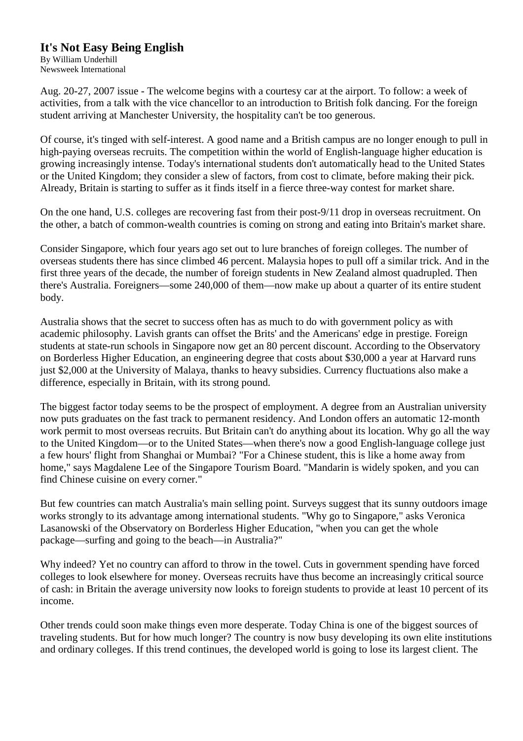## **It's Not Easy Being English**

By William Underhill Newsweek International

Aug. 20-27, 2007 issue - The welcome begins with a courtesy car at the airport. To follow: a week of activities, from a talk with the vice chancellor to an introduction to British folk dancing. For the foreign student arriving at Manchester University, the hospitality can't be too generous.

Of course, it's tinged with self-interest. A good name and a British campus are no longer enough to pull in high-paying overseas recruits. The competition within the world of English-language higher education is growing increasingly intense. Today's international students don't automatically head to the United States or the United Kingdom; they consider a slew of factors, from cost to climate, before making their pick. Already, Britain is starting to suffer as it finds itself in a fierce three-way contest for market share.

On the one hand, U.S. colleges are recovering fast from their post-9/11 drop in overseas recruitment. On the other, a batch of common-wealth countries is coming on strong and eating into Britain's market share.

Consider Singapore, which four years ago set out to lure branches of foreign colleges. The number of overseas students there has since climbed 46 percent. Malaysia hopes to pull off a similar trick. And in the first three years of the decade, the number of foreign students in New Zealand almost quadrupled. Then there's Australia. Foreigners—some 240,000 of them—now make up about a quarter of its entire student body.

Australia shows that the secret to success often has as much to do with government policy as with academic philosophy. Lavish grants can offset the Brits' and the Americans' edge in prestige. Foreign students at state-run schools in Singapore now get an 80 percent discount. According to the Observatory on Borderless Higher Education, an engineering degree that costs about \$30,000 a year at Harvard runs just \$2,000 at the University of Malaya, thanks to heavy subsidies. Currency fluctuations also make a difference, especially in Britain, with its strong pound.

The biggest factor today seems to be the prospect of employment. A degree from an Australian university now puts graduates on the fast track to permanent residency. And London offers an automatic 12-month work permit to most overseas recruits. But Britain can't do anything about its location. Why go all the way to the United Kingdom—or to the United States—when there's now a good English-language college just a few hours' flight from Shanghai or Mumbai? "For a Chinese student, this is like a home away from home," says Magdalene Lee of the Singapore Tourism Board. "Mandarin is widely spoken, and you can find Chinese cuisine on every corner."

But few countries can match Australia's main selling point. Surveys suggest that its sunny outdoors image works strongly to its advantage among international students. "Why go to Singapore," asks Veronica Lasanowski of the Observatory on Borderless Higher Education, "when you can get the whole package—surfing and going to the beach—in Australia?"

Why indeed? Yet no country can afford to throw in the towel. Cuts in government spending have forced colleges to look elsewhere for money. Overseas recruits have thus become an increasingly critical source of cash: in Britain the average university now looks to foreign students to provide at least 10 percent of its income.

Other trends could soon make things even more desperate. Today China is one of the biggest sources of traveling students. But for how much longer? The country is now busy developing its own elite institutions and ordinary colleges. If this trend continues, the developed world is going to lose its largest client. The